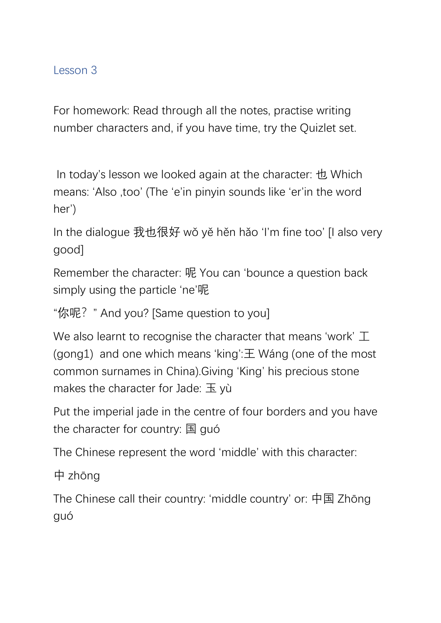## Lesson 3

For homework: Read through all the notes, practise writing number characters and, if you have time, try the Quizlet set.

In today's lesson we looked again at the character: 也 Which means: 'Also ,too' (The 'e'in pinyin sounds like 'er'in the word her')

In the dialogue 我也很好 wǒ yě hěn hǎo 'I'm fine too' [I also very good]

Remember the character: 呢 You can 'bounce a question back simply using the particle 'ne'呢

"你呢?" And you? [Same question to you]

We also learnt to recognise the character that means 'work' 工 (gong1) and one which means 'king':  $\pm$  Wang (one of the most common surnames in China).Giving 'King' his precious stone makes the character for Jade:  $\pm \sqrt{v}$ 

Put the imperial jade in the centre of four borders and you have the character for country: 国 guó

The Chinese represent the word 'middle' with this character:

中 zhōng

The Chinese call their country: 'middle country' or: 中国 Zhōng guó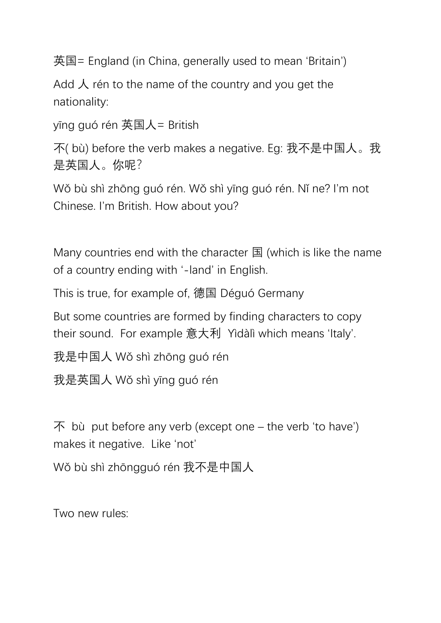英国= England (in China, generally used to mean 'Britain')

Add  $\lambda$  rén to the name of the country and you get the nationality:

yīng guó rén 英国人= British

不( bù) before the verb makes a negative. Eg: 我不是中国人。我 是英国人。你呢?

Wǒ bù shì zhōng guó rén. Wǒ shì yīng guó rén. Nǐ ne? I'm not Chinese. I'm British. How about you?

Many countries end with the character 国 (which is like the name of a country ending with '-land' in English.

This is true, for example of, 德国 Déguó Germany

But some countries are formed by finding characters to copy their sound. For example 意大利 Yìdàlì which means 'Italy'.

我是中国人 Wǒ shì zhōng guó rén

我是英国人 Wǒ shì yīng guó rén

 $\overline{P}$  bù put before any verb (except one – the verb 'to have') makes it negative. Like 'not'

Wǒ bù shì zhōngguó rén 我不是中国人

Two new rules: